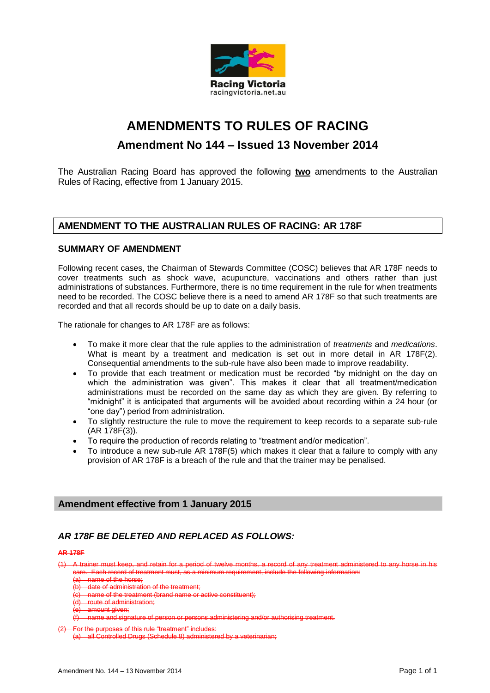

# **AMENDMENTS TO RULES OF RACING**

# **Amendment No 144 – Issued 13 November 2014**

The Australian Racing Board has approved the following **two** amendments to the Australian Rules of Racing, effective from 1 January 2015.

# **AMENDMENT TO THE AUSTRALIAN RULES OF RACING: AR 178F**

## **SUMMARY OF AMENDMENT**

Following recent cases, the Chairman of Stewards Committee (COSC) believes that AR 178F needs to cover treatments such as shock wave, acupuncture, vaccinations and others rather than just administrations of substances. Furthermore, there is no time requirement in the rule for when treatments need to be recorded. The COSC believe there is a need to amend AR 178F so that such treatments are recorded and that all records should be up to date on a daily basis.

The rationale for changes to AR 178F are as follows:

- To make it more clear that the rule applies to the administration of *treatments* and *medications*. What is meant by a treatment and medication is set out in more detail in AR 178F(2). Consequential amendments to the sub-rule have also been made to improve readability.
- To provide that each treatment or medication must be recorded "by midnight on the day on which the administration was given". This makes it clear that all treatment/medication administrations must be recorded on the same day as which they are given. By referring to "midnight" it is anticipated that arguments will be avoided about recording within a 24 hour (or "one day") period from administration.
- To slightly restructure the rule to move the requirement to keep records to a separate sub-rule (AR 178F(3)).
- To require the production of records relating to "treatment and/or medication".
- To introduce a new sub-rule AR 178F(5) which makes it clear that a failure to comply with any provision of AR 178F is a breach of the rule and that the trainer may be penalised.

## **Amendment effective from 1 January 2015**

## *AR 178F BE DELETED AND REPLACED AS FOLLOWS:*

#### **AR 178F**

A trainer must keep, and retain for a period of twelve months, a record of any treatment administered to any horse in his Each record of treatment must, as a minimum requirement, include the following information:

- e of the horse;
- $\frac{1}{100}$  of administration of the treatment;<br>e of the treatment (brand name or active constituent);

ne of the treatment (brand name or

of administration;

ount given<del>;</del><br>ne and sign of person or persons administering and/or authorising treatment.

<sup>(2)</sup> For the purposes of this rule "treatment" includes:

all Controlled Drugs (Schedule 8) administered by a veterinarian;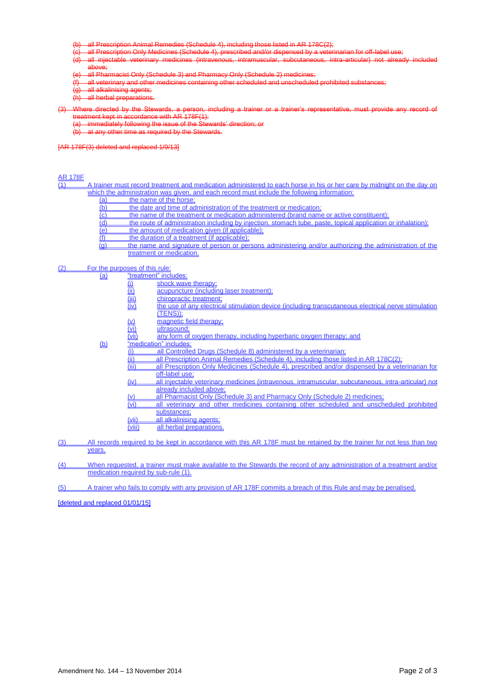including those listed in AR 178C(2)<br>escribed and/or dispensed by a vete

- all Prescription Only Medicines (Schedule 4), prescribed and/or dispensed by a veterinarian for off-label use;<br>all\_injectable\_veterinary\_medicines\_(intravenous,\_intramuscular,\_subcutaneous,\_intra-articular)\_not\_already. all injectable veterinary medicines (intravenous, intramuscular, subcutaneous, intra-articular) not already included above;<br>all Phar
- all Pharmacist Only (Schedule 3) and Pharmacy Only (Schedule 2) medicines;<br>all veterinary and other medicines containing other scheduled and unschedule
- (f) all veterinary and other medicines containing other scheduled and unscheduled prohibited substances;
- all alkalinising agents;
- all herbal preparations.

#### directed by the Stewards, a person, including a trainer  $t$  rent kept in accordance with AR 178F(1):

- (a) immediately following the issue of the Stewards' direction;<br>(b) at any other time as required by the Stewards
- at any other time as required by the Stewards.

#### [AR 178F(3) deleted and replaced 1/9/13]

AR 178F

A trainer must record treatment and medication administered to each horse in his or her care by midnight on the day on which the administration was given, and each record must include the following information:

- 
- (a) the name of the horse;<br>(b) the date and time of ad (b) the date and time of administration of the treatment or medication;<br>(c) the name of the treatment or medication administered (brand name
- the name of the treatment or medication administered (brand name or active constituent);
- (d) the route of administration including by injection, stomach tube, paste, topical application or inhalation);<br>(e) the amount of medication given (if applicable);
- $\overline{(e)}$  the amount of medication given (if applicable);<br>(f) the duration of a treatment (if applicable);
- the duration of a treatment (if applicable);
- (g) the name and signature of person or persons administering and/or authorizing the administration of the treatment or medication.

#### (2) For the purposes of this rule:

| (a) | "treatment" includes:                      |                                                                                                     |  |
|-----|--------------------------------------------|-----------------------------------------------------------------------------------------------------|--|
|     | ( <u>i)</u>                                | shock wave therapy:                                                                                 |  |
|     | $\overline{(\mathbf{ii})}$                 | acupuncture (including laser treatment);                                                            |  |
|     |                                            | chiropractic treatment:                                                                             |  |
|     | $\frac{\overline{(iii)}}{(\overline{iv})}$ | the use of any electrical stimulation device (including transcutaneous electrical nerve stimulation |  |
|     |                                            | <u>(TENS)):</u>                                                                                     |  |
|     | <u>(v)</u>                                 | magnetic field therapy;                                                                             |  |
|     | $\frac{\overline{(vi)}}{\overline{(vii)}}$ | ultrasound:                                                                                         |  |
|     |                                            | any form of oxygen therapy, including hyperbaric oxygen therapy; and                                |  |
| (b) |                                            | "medication" includes:                                                                              |  |
|     | (i)                                        | all Controlled Drugs (Schedule 8) administered by a veterinarian;                                   |  |
|     | (ii)                                       | all Prescription Animal Remedies (Schedule 4), including those listed in AR 178C(2);                |  |
|     | (iii)                                      | all Prescription Only Medicines (Schedule 4), prescribed and/or dispensed by a veterinarian for     |  |
|     |                                            | off-label use:                                                                                      |  |
|     | (iv)                                       | all injectable veterinary medicines (intravenous, intramuscular, subcutaneous, intra-articular) not |  |
|     |                                            | already included above:                                                                             |  |
|     | $(\vee)$                                   | all Pharmacist Only (Schedule 3) and Pharmacy Only (Schedule 2) medicines:                          |  |
|     | (v <sub>i</sub> )                          | all veterinary and other medicines containing other scheduled and unscheduled prohibited            |  |
|     |                                            | substances:                                                                                         |  |
|     | (vii)                                      | all alkalinising agents;                                                                            |  |
|     | (viii)                                     | all herbal preparations.                                                                            |  |

(3) All records required to be kept in accordance with this AR 178F must be retained by the trainer for not less than two years.

(4) When requested, a trainer must make available to the Stewards the record of any administration of a treatment and/or medication required by sub-rule (1).

(5) A trainer who fails to comply with any provision of AR 178F commits a breach of this Rule and may be penalised.

[deleted and replaced 01/01/15]